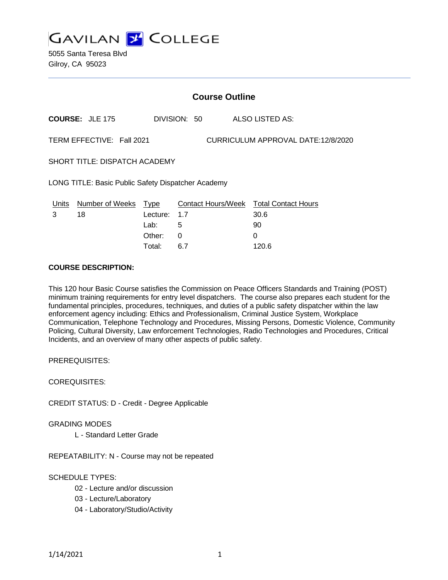

5055 Santa Teresa Blvd Gilroy, CA 95023

|                                                                 | <b>Course Outline</b>        |                         |     |  |  |                                                |  |
|-----------------------------------------------------------------|------------------------------|-------------------------|-----|--|--|------------------------------------------------|--|
|                                                                 | <b>COURSE: JLE 175</b>       | DIVISION: 50            |     |  |  | ALSO LISTED AS:                                |  |
| TERM EFFECTIVE: Fall 2021<br>CURRICULUM APPROVAL DATE:12/8/2020 |                              |                         |     |  |  |                                                |  |
| SHORT TITLE: DISPATCH ACADEMY                                   |                              |                         |     |  |  |                                                |  |
| LONG TITLE: Basic Public Safety Dispatcher Academy              |                              |                         |     |  |  |                                                |  |
| Units<br>3                                                      | <b>Number of Weeks</b><br>18 | <b>Type</b><br>Lecture: | 1.7 |  |  | Contact Hours/Week Total Contact Hours<br>30.6 |  |
|                                                                 |                              | Lab:                    | 5   |  |  | 90                                             |  |
|                                                                 |                              | Other:                  | 0   |  |  | 0                                              |  |

Total: 6.7 120.6

#### **COURSE DESCRIPTION:**

This 120 hour Basic Course satisfies the Commission on Peace Officers Standards and Training (POST) minimum training requirements for entry level dispatchers. The course also prepares each student for the fundamental principles, procedures, techniques, and duties of a public safety dispatcher within the law enforcement agency including: Ethics and Professionalism, Criminal Justice System, Workplace Communication, Telephone Technology and Procedures, Missing Persons, Domestic Violence, Community Policing, Cultural Diversity, Law enforcement Technologies, Radio Technologies and Procedures, Critical Incidents, and an overview of many other aspects of public safety.

PREREQUISITES:

COREQUISITES:

CREDIT STATUS: D - Credit - Degree Applicable

GRADING MODES

L - Standard Letter Grade

REPEATABILITY: N - Course may not be repeated

### SCHEDULE TYPES:

- 02 Lecture and/or discussion
- 03 Lecture/Laboratory
- 04 Laboratory/Studio/Activity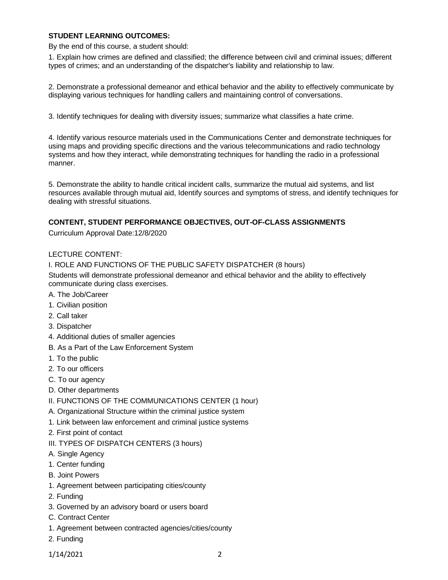### **STUDENT LEARNING OUTCOMES:**

By the end of this course, a student should:

1. Explain how crimes are defined and classified; the difference between civil and criminal issues; different types of crimes; and an understanding of the dispatcher's liability and relationship to law.

2. Demonstrate a professional demeanor and ethical behavior and the ability to effectively communicate by displaying various techniques for handling callers and maintaining control of conversations.

3. Identify techniques for dealing with diversity issues; summarize what classifies a hate crime.

4. Identify various resource materials used in the Communications Center and demonstrate techniques for using maps and providing specific directions and the various telecommunications and radio technology systems and how they interact, while demonstrating techniques for handling the radio in a professional manner.

5. Demonstrate the ability to handle critical incident calls, summarize the mutual aid systems, and list resources available through mutual aid, Identify sources and symptoms of stress, and identify techniques for dealing with stressful situations.

### **CONTENT, STUDENT PERFORMANCE OBJECTIVES, OUT-OF-CLASS ASSIGNMENTS**

Curriculum Approval Date:12/8/2020

### LECTURE CONTENT:

I. ROLE AND FUNCTIONS OF THE PUBLIC SAFETY DISPATCHER (8 hours)

Students will demonstrate professional demeanor and ethical behavior and the ability to effectively communicate during class exercises.

- A. The Job/Career
- 1. Civilian position
- 2. Call taker
- 3. Dispatcher
- 4. Additional duties of smaller agencies
- B. As a Part of the Law Enforcement System
- 1. To the public
- 2. To our officers
- C. To our agency
- D. Other departments
- II. FUNCTIONS OF THE COMMUNICATIONS CENTER (1 hour)
- A. Organizational Structure within the criminal justice system
- 1. Link between law enforcement and criminal justice systems
- 2. First point of contact
- III. TYPES OF DISPATCH CENTERS (3 hours)
- A. Single Agency
- 1. Center funding
- B. Joint Powers
- 1. Agreement between participating cities/county
- 2. Funding
- 3. Governed by an advisory board or users board
- C. Contract Center
- 1. Agreement between contracted agencies/cities/county
- 2. Funding

1/14/2021 2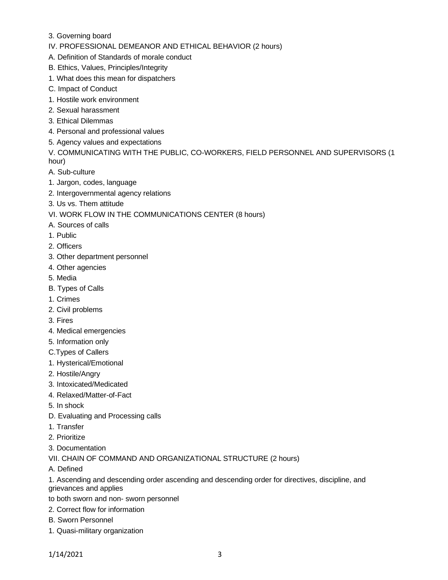- 3. Governing board
- IV. PROFESSIONAL DEMEANOR AND ETHICAL BEHAVIOR (2 hours)
- A. Definition of Standards of morale conduct
- B. Ethics, Values, Principles/Integrity
- 1. What does this mean for dispatchers
- C. Impact of Conduct
- 1. Hostile work environment
- 2. Sexual harassment
- 3. Ethical Dilemmas
- 4. Personal and professional values
- 5. Agency values and expectations

V. COMMUNICATING WITH THE PUBLIC, CO-WORKERS, FIELD PERSONNEL AND SUPERVISORS (1 hour)

- A. Sub-culture
- 1. Jargon, codes, language
- 2. Intergovernmental agency relations
- 3. Us vs. Them attitude
- VI. WORK FLOW IN THE COMMUNICATIONS CENTER (8 hours)
- A. Sources of calls
- 1. Public
- 2. Officers
- 3. Other department personnel
- 4. Other agencies
- 5. Media
- B. Types of Calls
- 1. Crimes
- 2. Civil problems
- 3. Fires
- 4. Medical emergencies
- 5. Information only
- C.Types of Callers
- 1. Hysterical/Emotional
- 2. Hostile/Angry
- 3. Intoxicated/Medicated
- 4. Relaxed/Matter-of-Fact
- 5. In shock
- D. Evaluating and Processing calls
- 1. Transfer
- 2. Prioritize
- 3. Documentation
- VII. CHAIN OF COMMAND AND ORGANIZATIONAL STRUCTURE (2 hours)
- A. Defined

1. Ascending and descending order ascending and descending order for directives, discipline, and grievances and applies

- to both sworn and non- sworn personnel
- 2. Correct flow for information
- B. Sworn Personnel
- 1. Quasi-military organization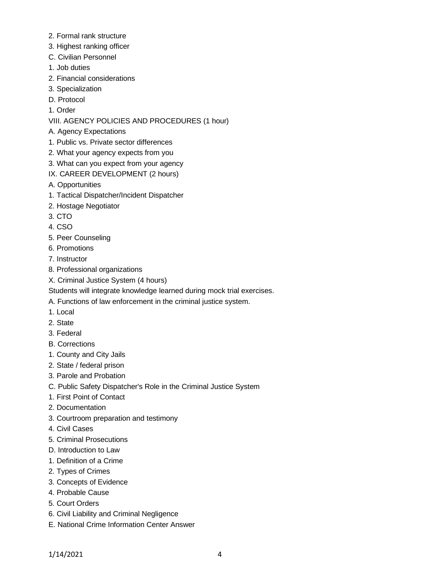- 2. Formal rank structure
- 3. Highest ranking officer
- C. Civilian Personnel
- 1. Job duties
- 2. Financial considerations
- 3. Specialization
- D. Protocol
- 1. Order

# VIII. AGENCY POLICIES AND PROCEDURES (1 hour)

- A. Agency Expectations
- 1. Public vs. Private sector differences
- 2. What your agency expects from you
- 3. What can you expect from your agency
- IX. CAREER DEVELOPMENT (2 hours)
- A. Opportunities
- 1. Tactical Dispatcher/Incident Dispatcher
- 2. Hostage Negotiator
- 3. CTO
- 4. CSO
- 5. Peer Counseling
- 6. Promotions
- 7. Instructor
- 8. Professional organizations
- X. Criminal Justice System (4 hours)
- Students will integrate knowledge learned during mock trial exercises.
- A. Functions of law enforcement in the criminal justice system.
- 1. Local
- 2. State
- 3. Federal
- B. Corrections
- 1. County and City Jails
- 2. State / federal prison
- 3. Parole and Probation
- C. Public Safety Dispatcher's Role in the Criminal Justice System
- 1. First Point of Contact
- 2. Documentation
- 3. Courtroom preparation and testimony
- 4. Civil Cases
- 5. Criminal Prosecutions
- D. Introduction to Law
- 1. Definition of a Crime
- 2. Types of Crimes
- 3. Concepts of Evidence
- 4. Probable Cause
- 5. Court Orders
- 6. Civil Liability and Criminal Negligence
- E. National Crime Information Center Answer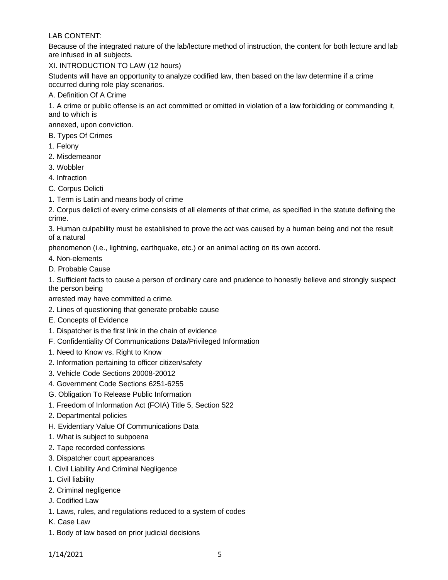### LAB CONTENT:

Because of the integrated nature of the lab/lecture method of instruction, the content for both lecture and lab are infused in all subjects.

XI. INTRODUCTION TO LAW (12 hours)

Students will have an opportunity to analyze codified law, then based on the law determine if a crime occurred during role play scenarios.

A. Definition Of A Crime

1. A crime or public offense is an act committed or omitted in violation of a law forbidding or commanding it, and to which is

annexed, upon conviction.

- B. Types Of Crimes
- 1. Felony
- 2. Misdemeanor
- 3. Wobbler
- 4. Infraction
- C. Corpus Delicti
- 1. Term is Latin and means body of crime

2. Corpus delicti of every crime consists of all elements of that crime, as specified in the statute defining the crime.

3. Human culpability must be established to prove the act was caused by a human being and not the result of a natural

phenomenon (i.e., lightning, earthquake, etc.) or an animal acting on its own accord.

- 4. Non-elements
- D. Probable Cause

1. Sufficient facts to cause a person of ordinary care and prudence to honestly believe and strongly suspect the person being

arrested may have committed a crime.

- 2. Lines of questioning that generate probable cause
- E. Concepts of Evidence
- 1. Dispatcher is the first link in the chain of evidence
- F. Confidentiality Of Communications Data/Privileged Information
- 1. Need to Know vs. Right to Know
- 2. Information pertaining to officer citizen/safety
- 3. Vehicle Code Sections 20008-20012
- 4. Government Code Sections 6251-6255
- G. Obligation To Release Public Information
- 1. Freedom of Information Act (FOIA) Title 5, Section 522
- 2. Departmental policies
- H. Evidentiary Value Of Communications Data
- 1. What is subject to subpoena
- 2. Tape recorded confessions
- 3. Dispatcher court appearances
- I. Civil Liability And Criminal Negligence
- 1. Civil liability
- 2. Criminal negligence
- J. Codified Law
- 1. Laws, rules, and regulations reduced to a system of codes
- K. Case Law
- 1. Body of law based on prior judicial decisions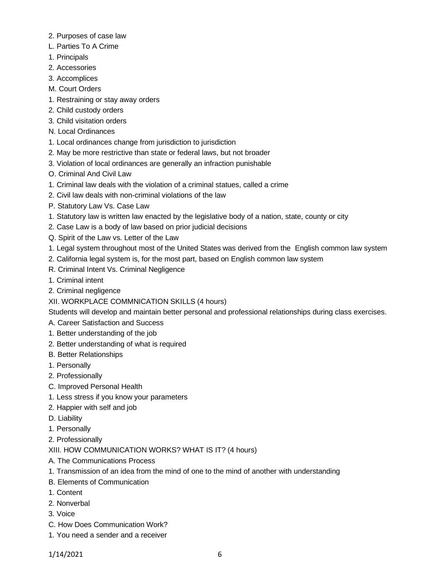- 2. Purposes of case law
- L. Parties To A Crime
- 1. Principals
- 2. Accessories
- 3. Accomplices
- M. Court Orders
- 1. Restraining or stay away orders
- 2. Child custody orders
- 3. Child visitation orders
- N. Local Ordinances
- 1. Local ordinances change from jurisdiction to jurisdiction
- 2. May be more restrictive than state or federal laws, but not broader
- 3. Violation of local ordinances are generally an infraction punishable
- O. Criminal And Civil Law
- 1. Criminal law deals with the violation of a criminal statues, called a crime
- 2. Civil law deals with non-criminal violations of the law
- P. Statutory Law Vs. Case Law
- 1. Statutory law is written law enacted by the legislative body of a nation, state, county or city
- 2. Case Law is a body of law based on prior judicial decisions
- Q. Spirit of the Law vs. Letter of the Law
- 1. Legal system throughout most of the United States was derived from the English common law system
- 2. California legal system is, for the most part, based on English common law system
- R. Criminal Intent Vs. Criminal Negligence
- 1. Criminal intent
- 2. Criminal negligence
- XII. WORKPLACE COMMNICATION SKILLS (4 hours)

Students will develop and maintain better personal and professional relationships during class exercises.

- A. Career Satisfaction and Success
- 1. Better understanding of the job
- 2. Better understanding of what is required
- B. Better Relationships
- 1. Personally
- 2. Professionally
- C. Improved Personal Health
- 1. Less stress if you know your parameters
- 2. Happier with self and job
- D. Liability
- 1. Personally
- 2. Professionally
- XIII. HOW COMMUNICATION WORKS? WHAT IS IT? (4 hours)
- A. The Communications Process
- 1. Transmission of an idea from the mind of one to the mind of another with understanding
- B. Elements of Communication
- 1. Content
- 2. Nonverbal
- 3. Voice
- C. How Does Communication Work?
- 1. You need a sender and a receiver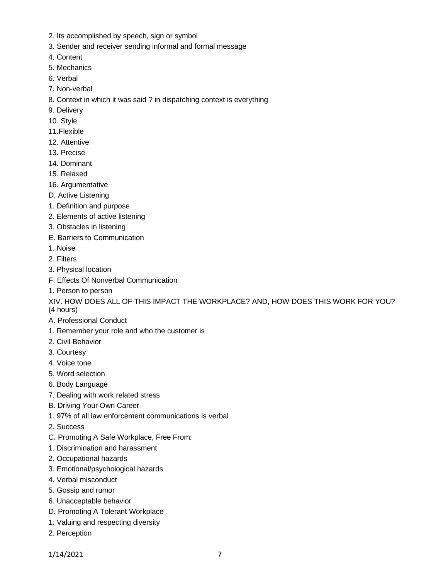- 2. Its accomplished by speech, sign or symbol
- 3. Sender and receiver sending informal and formal message
- 4. Content
- 5. Mechanics
- 6. Verbal
- 7. Non-verbal
- 8. Context in which it was said ? in dispatching context is everything
- 9. Delivery
- 10. Style
- 11.Flexible
- 12. Attentive
- 13. Precise
- 14. Dominant
- 15. Relaxed
- 16. Argumentative
- D. Active Listening
- 1. Definition and purpose
- 2. Elements of active listening
- 3. Obstacles in listening
- E. Barriers to Communication
- 1. Noise
- 2. Filters
- 3. Physical location
- F. Effects Of Nonverbal Communication
- 1. Person to person

XIV. HOW DOES ALL OF THIS IMPACT THE WORKPLACE? AND, HOW DOES THIS WORK FOR YOU? (4 hours)

- A. Professional Conduct
- 1. Remember your role and who the customer is
- 2. Civil Behavior
- 3. Courtesy
- 4. Voice tone
- 5. Word selection
- 6. Body Language
- 7. Dealing with work related stress
- B. Driving Your Own Career
- 1. 97% of all law enforcement communications is verbal
- 2. Success
- C. Promoting A Safe Workplace, Free From:
- 1. Discrimination and harassment
- 2. Occupational hazards
- 3. Emotional/psychological hazards
- 4. Verbal misconduct
- 5. Gossip and rumor
- 6. Unacceptable behavior
- D. Promoting A Tolerant Workplace
- 1. Valuing and respecting diversity
- 2. Perception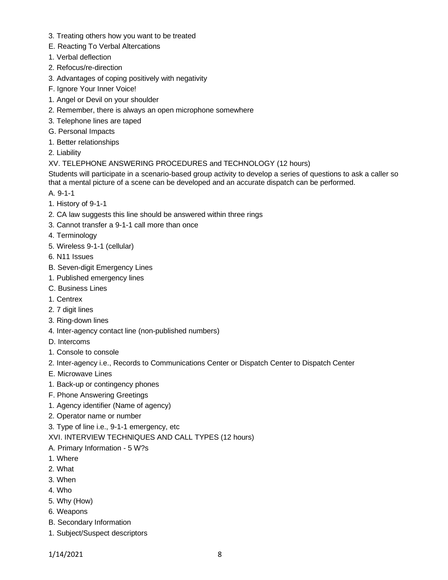- 3. Treating others how you want to be treated
- E. Reacting To Verbal Altercations
- 1. Verbal deflection
- 2. Refocus/re-direction
- 3. Advantages of coping positively with negativity
- F. Ignore Your Inner Voice!
- 1. Angel or Devil on your shoulder
- 2. Remember, there is always an open microphone somewhere
- 3. Telephone lines are taped
- G. Personal Impacts
- 1. Better relationships
- 2. Liability

### XV. TELEPHONE ANSWERING PROCEDURES and TECHNOLOGY (12 hours)

Students will participate in a scenario-based group activity to develop a series of questions to ask a caller so that a mental picture of a scene can be developed and an accurate dispatch can be performed.

- A. 9-1-1
- 1. History of 9-1-1
- 2. CA law suggests this line should be answered within three rings
- 3. Cannot transfer a 9-1-1 call more than once
- 4. Terminology
- 5. Wireless 9-1-1 (cellular)
- 6. N11 Issues
- B. Seven-digit Emergency Lines
- 1. Published emergency lines
- C. Business Lines
- 1. Centrex
- 2. 7 digit lines
- 3. Ring-down lines
- 4. Inter-agency contact line (non-published numbers)
- D. Intercoms
- 1. Console to console
- 2. Inter-agency i.e., Records to Communications Center or Dispatch Center to Dispatch Center
- E. Microwave Lines
- 1. Back-up or contingency phones
- F. Phone Answering Greetings
- 1. Agency identifier (Name of agency)
- 2. Operator name or number
- 3. Type of line i.e., 9-1-1 emergency, etc
- XVI. INTERVIEW TECHNIQUES AND CALL TYPES (12 hours)
- A. Primary Information 5 W?s
- 1. Where
- 2. What
- 3. When
- 4. Who
- 5. Why (How)
- 6. Weapons
- B. Secondary Information
- 1. Subject/Suspect descriptors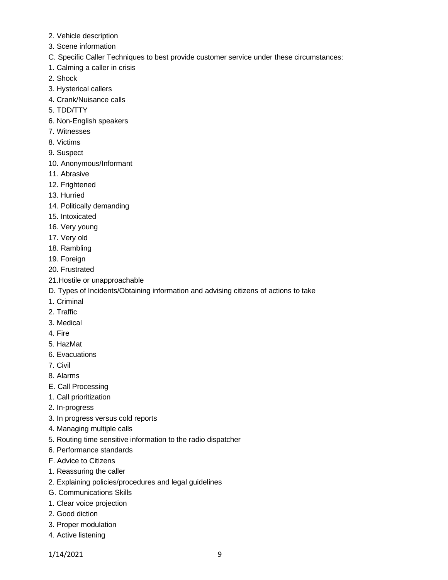- 2. Vehicle description
- 3. Scene information
- C. Specific Caller Techniques to best provide customer service under these circumstances:
- 1. Calming a caller in crisis
- 2. Shock
- 3. Hysterical callers
- 4. Crank/Nuisance calls
- 5. TDD/TTY
- 6. Non-English speakers
- 7. Witnesses
- 8. Victims
- 9. Suspect
- 10. Anonymous/Informant
- 11. Abrasive
- 12. Frightened
- 13. Hurried
- 14. Politically demanding
- 15. Intoxicated
- 16. Very young
- 17. Very old
- 18. Rambling
- 19. Foreign
- 20. Frustrated
- 21.Hostile or unapproachable
- D. Types of Incidents/Obtaining information and advising citizens of actions to take
- 1. Criminal
- 2. Traffic
- 3. Medical
- 4. Fire
- 5. HazMat
- 6. Evacuations
- 7. Civil
- 8. Alarms
- E. Call Processing
- 1. Call prioritization
- 2. In-progress
- 3. In progress versus cold reports
- 4. Managing multiple calls
- 5. Routing time sensitive information to the radio dispatcher
- 6. Performance standards
- F. Advice to Citizens
- 1. Reassuring the caller
- 2. Explaining policies/procedures and legal guidelines
- G. Communications Skills
- 1. Clear voice projection
- 2. Good diction
- 3. Proper modulation
- 4. Active listening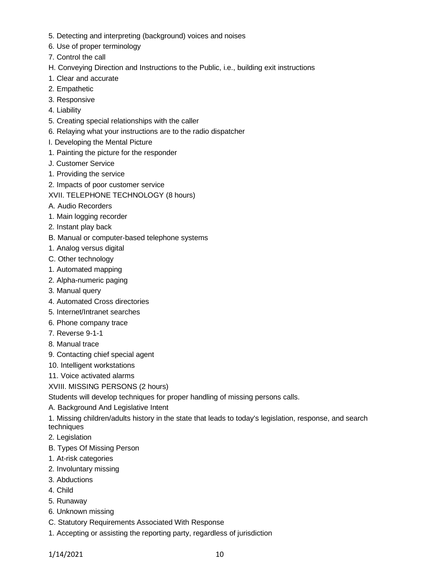- 5. Detecting and interpreting (background) voices and noises
- 6. Use of proper terminology
- 7. Control the call
- H. Conveying Direction and Instructions to the Public, i.e., building exit instructions
- 1. Clear and accurate
- 2. Empathetic
- 3. Responsive
- 4. Liability
- 5. Creating special relationships with the caller
- 6. Relaying what your instructions are to the radio dispatcher
- I. Developing the Mental Picture
- 1. Painting the picture for the responder
- J. Customer Service
- 1. Providing the service
- 2. Impacts of poor customer service
- XVII. TELEPHONE TECHNOLOGY (8 hours)
- A. Audio Recorders
- 1. Main logging recorder
- 2. Instant play back
- B. Manual or computer-based telephone systems
- 1. Analog versus digital
- C. Other technology
- 1. Automated mapping
- 2. Alpha-numeric paging
- 3. Manual query
- 4. Automated Cross directories
- 5. Internet/Intranet searches
- 6. Phone company trace
- 7. Reverse 9-1-1
- 8. Manual trace
- 9. Contacting chief special agent
- 10. Intelligent workstations
- 11. Voice activated alarms
- XVIII. MISSING PERSONS (2 hours)
- Students will develop techniques for proper handling of missing persons calls.
- A. Background And Legislative Intent

1. Missing children/adults history in the state that leads to today's legislation, response, and search techniques

- 2. Legislation
- B. Types Of Missing Person
- 1. At-risk categories
- 2. Involuntary missing
- 3. Abductions
- 4. Child
- 5. Runaway
- 6. Unknown missing
- C. Statutory Requirements Associated With Response
- 1. Accepting or assisting the reporting party, regardless of jurisdiction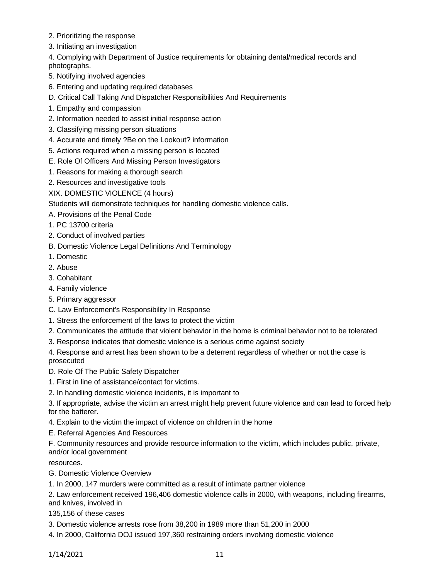- 2. Prioritizing the response
- 3. Initiating an investigation

4. Complying with Department of Justice requirements for obtaining dental/medical records and photographs.

- 5. Notifying involved agencies
- 6. Entering and updating required databases
- D. Critical Call Taking And Dispatcher Responsibilities And Requirements
- 1. Empathy and compassion
- 2. Information needed to assist initial response action
- 3. Classifying missing person situations
- 4. Accurate and timely ?Be on the Lookout? information
- 5. Actions required when a missing person is located
- E. Role Of Officers And Missing Person Investigators
- 1. Reasons for making a thorough search
- 2. Resources and investigative tools
- XIX. DOMESTIC VIOLENCE (4 hours)

Students will demonstrate techniques for handling domestic violence calls.

- A. Provisions of the Penal Code
- 1. PC 13700 criteria
- 2. Conduct of involved parties
- B. Domestic Violence Legal Definitions And Terminology
- 1. Domestic
- 2. Abuse
- 3. Cohabitant
- 4. Family violence
- 5. Primary aggressor
- C. Law Enforcement's Responsibility In Response
- 1. Stress the enforcement of the laws to protect the victim
- 2. Communicates the attitude that violent behavior in the home is criminal behavior not to be tolerated
- 3. Response indicates that domestic violence is a serious crime against society
- 4. Response and arrest has been shown to be a deterrent regardless of whether or not the case is prosecuted
- D. Role Of The Public Safety Dispatcher
- 1. First in line of assistance/contact for victims.
- 2. In handling domestic violence incidents, it is important to

3. If appropriate, advise the victim an arrest might help prevent future violence and can lead to forced help for the batterer.

- 4. Explain to the victim the impact of violence on children in the home
- E. Referral Agencies And Resources

F. Community resources and provide resource information to the victim, which includes public, private, and/or local government

resources.

G. Domestic Violence Overview

1. In 2000, 147 murders were committed as a result of intimate partner violence

2. Law enforcement received 196,406 domestic violence calls in 2000, with weapons, including firearms, and knives, involved in

- 135,156 of these cases
- 3. Domestic violence arrests rose from 38,200 in 1989 more than 51,200 in 2000
- 4. In 2000, California DOJ issued 197,360 restraining orders involving domestic violence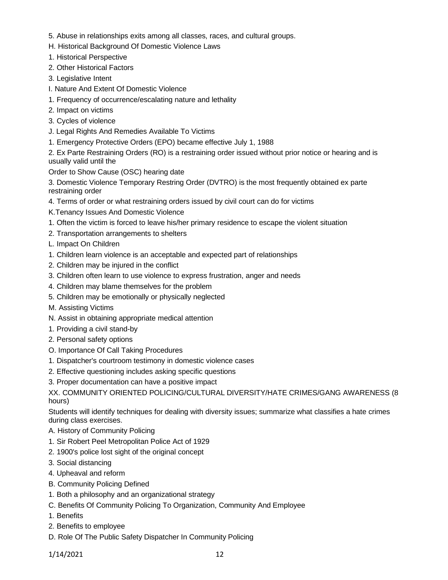- 5. Abuse in relationships exits among all classes, races, and cultural groups.
- H. Historical Background Of Domestic Violence Laws
- 1. Historical Perspective
- 2. Other Historical Factors
- 3. Legislative Intent
- I. Nature And Extent Of Domestic Violence
- 1. Frequency of occurrence/escalating nature and lethality
- 2. Impact on victims
- 3. Cycles of violence
- J. Legal Rights And Remedies Available To Victims
- 1. Emergency Protective Orders (EPO) became effective July 1, 1988

2. Ex Parte Restraining Orders (RO) is a restraining order issued without prior notice or hearing and is usually valid until the

Order to Show Cause (OSC) hearing date

3. Domestic Violence Temporary Restring Order (DVTRO) is the most frequently obtained ex parte restraining order

- 4. Terms of order or what restraining orders issued by civil court can do for victims
- K.Tenancy Issues And Domestic Violence
- 1. Often the victim is forced to leave his/her primary residence to escape the violent situation
- 2. Transportation arrangements to shelters
- L. Impact On Children
- 1. Children learn violence is an acceptable and expected part of relationships
- 2. Children may be injured in the conflict
- 3. Children often learn to use violence to express frustration, anger and needs
- 4. Children may blame themselves for the problem
- 5. Children may be emotionally or physically neglected
- M. Assisting Victims
- N. Assist in obtaining appropriate medical attention
- 1. Providing a civil stand-by
- 2. Personal safety options
- O. Importance Of Call Taking Procedures
- 1. Dispatcher's courtroom testimony in domestic violence cases
- 2. Effective questioning includes asking specific questions
- 3. Proper documentation can have a positive impact

XX. COMMUNITY ORIENTED POLICING/CULTURAL DIVERSITY/HATE CRIMES/GANG AWARENESS (8 hours)

Students will identify techniques for dealing with diversity issues; summarize what classifies a hate crimes during class exercises.

- A. History of Community Policing
- 1. Sir Robert Peel Metropolitan Police Act of 1929
- 2. 1900's police lost sight of the original concept
- 3. Social distancing
- 4. Upheaval and reform
- B. Community Policing Defined
- 1. Both a philosophy and an organizational strategy
- C. Benefits Of Community Policing To Organization, Community And Employee
- 1. Benefits
- 2. Benefits to employee
- D. Role Of The Public Safety Dispatcher In Community Policing

1/14/2021 12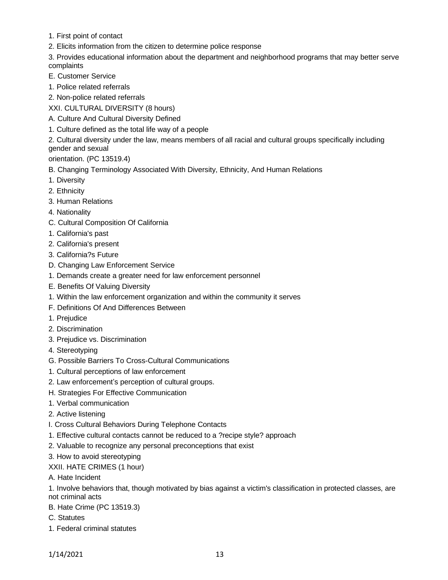- 1. First point of contact
- 2. Elicits information from the citizen to determine police response

3. Provides educational information about the department and neighborhood programs that may better serve complaints

- E. Customer Service
- 1. Police related referrals
- 2. Non-police related referrals

XXI. CULTURAL DIVERSITY (8 hours)

- A. Culture And Cultural Diversity Defined
- 1. Culture defined as the total life way of a people

2. Cultural diversity under the law, means members of all racial and cultural groups specifically including gender and sexual

orientation. (PC 13519.4)

- B. Changing Terminology Associated With Diversity, Ethnicity, And Human Relations
- 1. Diversity
- 2. Ethnicity
- 3. Human Relations
- 4. Nationality
- C. Cultural Composition Of California
- 1. California's past
- 2. California's present
- 3. California?s Future
- D. Changing Law Enforcement Service
- 1. Demands create a greater need for law enforcement personnel
- E. Benefits Of Valuing Diversity
- 1. Within the law enforcement organization and within the community it serves
- F. Definitions Of And Differences Between
- 1. Prejudice
- 2. Discrimination
- 3. Prejudice vs. Discrimination
- 4. Stereotyping
- G. Possible Barriers To Cross-Cultural Communications
- 1. Cultural perceptions of law enforcement
- 2. Law enforcement's perception of cultural groups.
- H. Strategies For Effective Communication
- 1. Verbal communication
- 2. Active listening
- I. Cross Cultural Behaviors During Telephone Contacts
- 1. Effective cultural contacts cannot be reduced to a ?recipe style? approach
- 2. Valuable to recognize any personal preconceptions that exist
- 3. How to avoid stereotyping

## XXII. HATE CRIMES (1 hour)

A. Hate Incident

1. Involve behaviors that, though motivated by bias against a victim's classification in protected classes, are not criminal acts

- B. Hate Crime (PC 13519.3)
- C. Statutes
- 1. Federal criminal statutes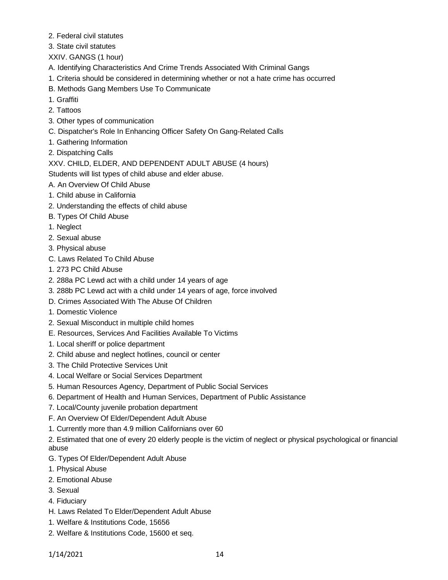- 2. Federal civil statutes
- 3. State civil statutes
- XXIV. GANGS (1 hour)
- A. Identifying Characteristics And Crime Trends Associated With Criminal Gangs
- 1. Criteria should be considered in determining whether or not a hate crime has occurred
- B. Methods Gang Members Use To Communicate
- 1. Graffiti
- 2. Tattoos
- 3. Other types of communication
- C. Dispatcher's Role In Enhancing Officer Safety On Gang-Related Calls
- 1. Gathering Information
- 2. Dispatching Calls

XXV. CHILD, ELDER, AND DEPENDENT ADULT ABUSE (4 hours)

Students will list types of child abuse and elder abuse.

- A. An Overview Of Child Abuse
- 1. Child abuse in California
- 2. Understanding the effects of child abuse
- B. Types Of Child Abuse
- 1. Neglect
- 2. Sexual abuse
- 3. Physical abuse
- C. Laws Related To Child Abuse
- 1. 273 PC Child Abuse
- 2. 288a PC Lewd act with a child under 14 years of age
- 3. 288b PC Lewd act with a child under 14 years of age, force involved
- D. Crimes Associated With The Abuse Of Children
- 1. Domestic Violence
- 2. Sexual Misconduct in multiple child homes
- E. Resources, Services And Facilities Available To Victims
- 1. Local sheriff or police department
- 2. Child abuse and neglect hotlines, council or center
- 3. The Child Protective Services Unit
- 4. Local Welfare or Social Services Department
- 5. Human Resources Agency, Department of Public Social Services
- 6. Department of Health and Human Services, Department of Public Assistance
- 7. Local/County juvenile probation department
- F. An Overview Of Elder/Dependent Adult Abuse
- 1. Currently more than 4.9 million Californians over 60

2. Estimated that one of every 20 elderly people is the victim of neglect or physical psychological or financial abuse

- G. Types Of Elder/Dependent Adult Abuse
- 1. Physical Abuse
- 2. Emotional Abuse
- 3. Sexual
- 4. Fiduciary
- H. Laws Related To Elder/Dependent Adult Abuse
- 1. Welfare & Institutions Code, 15656
- 2. Welfare & Institutions Code, 15600 et seq.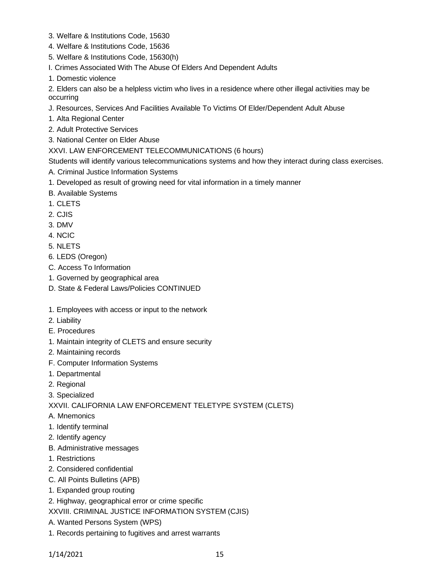- 3. Welfare & Institutions Code, 15630
- 4. Welfare & Institutions Code, 15636
- 5. Welfare & Institutions Code, 15630(h)
- I. Crimes Associated With The Abuse Of Elders And Dependent Adults
- 1. Domestic violence

2. Elders can also be a helpless victim who lives in a residence where other illegal activities may be occurring

- J. Resources, Services And Facilities Available To Victims Of Elder/Dependent Adult Abuse
- 1. Alta Regional Center
- 2. Adult Protective Services
- 3. National Center on Elder Abuse

### XXVI. LAW ENFORCEMENT TELECOMMUNICATIONS (6 hours)

Students will identify various telecommunications systems and how they interact during class exercises.

- A. Criminal Justice Information Systems
- 1. Developed as result of growing need for vital information in a timely manner
- B. Available Systems
- 1. CLETS
- 2. CJIS
- 3. DMV
- 4. NCIC
- 5. NLETS
- 6. LEDS (Oregon)
- C. Access To Information
- 1. Governed by geographical area
- D. State & Federal Laws/Policies CONTINUED
- 1. Employees with access or input to the network
- 2. Liability
- E. Procedures
- 1. Maintain integrity of CLETS and ensure security
- 2. Maintaining records
- F. Computer Information Systems
- 1. Departmental
- 2. Regional
- 3. Specialized

XXVII. CALIFORNIA LAW ENFORCEMENT TELETYPE SYSTEM (CLETS)

- A. Mnemonics
- 1. Identify terminal
- 2. Identify agency
- B. Administrative messages
- 1. Restrictions
- 2. Considered confidential
- C. All Points Bulletins (APB)
- 1. Expanded group routing
- 2. Highway, geographical error or crime specific

XXVIII. CRIMINAL JUSTICE INFORMATION SYSTEM (CJIS)

- A. Wanted Persons System (WPS)
- 1. Records pertaining to fugitives and arrest warrants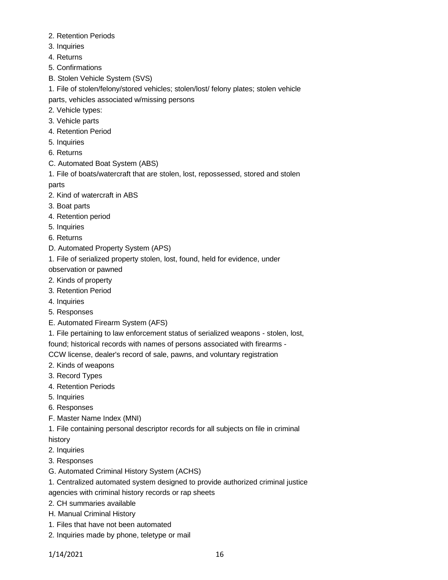- 2. Retention Periods
- 3. Inquiries
- 4. Returns
- 5. Confirmations
- B. Stolen Vehicle System (SVS)
- 1. File of stolen/felony/stored vehicles; stolen/lost/ felony plates; stolen vehicle parts, vehicles associated w/missing persons
- 2. Vehicle types:
- 3. Vehicle parts
- 4. Retention Period
- 5. Inquiries
- 6. Returns
- C. Automated Boat System (ABS)
- 1. File of boats/watercraft that are stolen, lost, repossessed, stored and stolen parts
- 2. Kind of watercraft in ABS
- 3. Boat parts
- 4. Retention period
- 5. Inquiries
- 6. Returns
- D. Automated Property System (APS)
- 1. File of serialized property stolen, lost, found, held for evidence, under

observation or pawned

- 2. Kinds of property
- 3. Retention Period
- 4. Inquiries
- 5. Responses
- E. Automated Firearm System (AFS)
- 1. File pertaining to law enforcement status of serialized weapons stolen, lost,

found; historical records with names of persons associated with firearms -

CCW license, dealer's record of sale, pawns, and voluntary registration

- 2. Kinds of weapons
- 3. Record Types
- 4. Retention Periods
- 5. Inquiries
- 6. Responses
- F. Master Name Index (MNI)
- 1. File containing personal descriptor records for all subjects on file in criminal
- history
- 2. Inquiries
- 3. Responses
- G. Automated Criminal History System (ACHS)
- 1. Centralized automated system designed to provide authorized criminal justice
- agencies with criminal history records or rap sheets
- 2. CH summaries available
- H. Manual Criminal History
- 1. Files that have not been automated
- 2. Inquiries made by phone, teletype or mail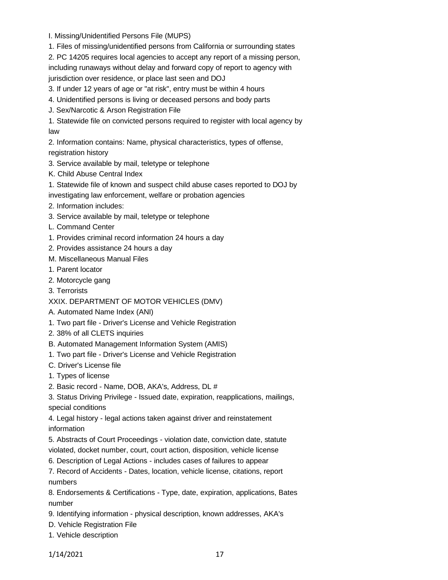- I. Missing/Unidentified Persons File (MUPS)
- 1. Files of missing/unidentified persons from California or surrounding states

2. PC 14205 requires local agencies to accept any report of a missing person, including runaways without delay and forward copy of report to agency with jurisdiction over residence, or place last seen and DOJ

3. If under 12 years of age or "at risk", entry must be within 4 hours

- 4. Unidentified persons is living or deceased persons and body parts
- J. Sex/Narcotic & Arson Registration File

1. Statewide file on convicted persons required to register with local agency by law

2. Information contains: Name, physical characteristics, types of offense, registration history

- 3. Service available by mail, teletype or telephone
- K. Child Abuse Central Index
- 1. Statewide file of known and suspect child abuse cases reported to DOJ by investigating law enforcement, welfare or probation agencies
- 2. Information includes:
- 3. Service available by mail, teletype or telephone
- L. Command Center
- 1. Provides criminal record information 24 hours a day
- 2. Provides assistance 24 hours a day
- M. Miscellaneous Manual Files
- 1. Parent locator
- 2. Motorcycle gang
- 3. Terrorists
- XXIX. DEPARTMENT OF MOTOR VEHICLES (DMV)
- A. Automated Name Index (ANI)
- 1. Two part file Driver's License and Vehicle Registration
- 2. 38% of all CLETS inquiries
- B. Automated Management Information System (AMIS)
- 1. Two part file Driver's License and Vehicle Registration
- C. Driver's License file
- 1. Types of license
- 2. Basic record Name, DOB, AKA's, Address, DL #

3. Status Driving Privilege - Issued date, expiration, reapplications, mailings, special conditions

4. Legal history - legal actions taken against driver and reinstatement information

5. Abstracts of Court Proceedings - violation date, conviction date, statute violated, docket number, court, court action, disposition, vehicle license

6. Description of Legal Actions - includes cases of failures to appear

7. Record of Accidents - Dates, location, vehicle license, citations, report numbers

8. Endorsements & Certifications - Type, date, expiration, applications, Bates number

- 9. Identifying information physical description, known addresses, AKA's
- D. Vehicle Registration File
- 1. Vehicle description

1/14/2021 17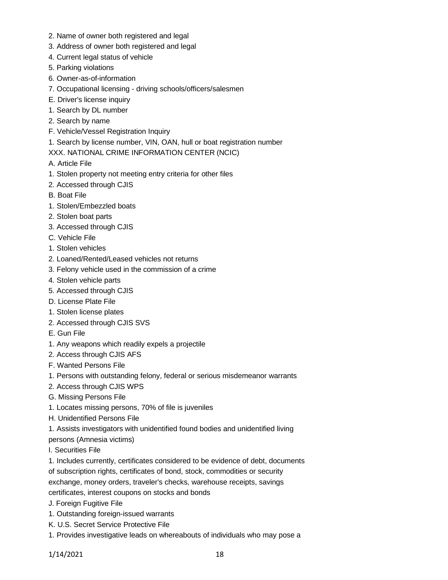- 2. Name of owner both registered and legal
- 3. Address of owner both registered and legal
- 4. Current legal status of vehicle
- 5. Parking violations
- 6. Owner-as-of-information
- 7. Occupational licensing driving schools/officers/salesmen
- E. Driver's license inquiry
- 1. Search by DL number
- 2. Search by name
- F. Vehicle/Vessel Registration Inquiry
- 1. Search by license number, VIN, OAN, hull or boat registration number
- XXX. NATIONAL CRIME INFORMATION CENTER (NCIC)
- A. Article File
- 1. Stolen property not meeting entry criteria for other files
- 2. Accessed through CJIS
- B. Boat File
- 1. Stolen/Embezzled boats
- 2. Stolen boat parts
- 3. Accessed through CJIS
- C. Vehicle File
- 1. Stolen vehicles
- 2. Loaned/Rented/Leased vehicles not returns
- 3. Felony vehicle used in the commission of a crime
- 4. Stolen vehicle parts
- 5. Accessed through CJIS
- D. License Plate File
- 1. Stolen license plates
- 2. Accessed through CJIS SVS
- E. Gun File
- 1. Any weapons which readily expels a projectile
- 2. Access through CJIS AFS
- F. Wanted Persons File
- 1. Persons with outstanding felony, federal or serious misdemeanor warrants
- 2. Access through CJIS WPS
- G. Missing Persons File
- 1. Locates missing persons, 70% of file is juveniles
- H. Unidentified Persons File
- 1. Assists investigators with unidentified found bodies and unidentified living persons (Amnesia victims)
- I. Securities File
- 1. Includes currently, certificates considered to be evidence of debt, documents of subscription rights, certificates of bond, stock, commodities or security exchange, money orders, traveler's checks, warehouse receipts, savings certificates, interest coupons on stocks and bonds
- J. Foreign Fugitive File
- 1. Outstanding foreign-issued warrants
- K. U.S. Secret Service Protective File
- 1. Provides investigative leads on whereabouts of individuals who may pose a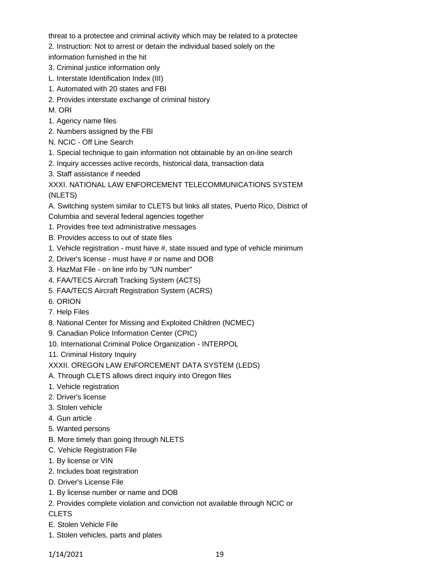threat to a protectee and criminal activity which may be related to a protectee

- 2. Instruction: Not to arrest or detain the individual based solely on the
- information furnished in the hit
- 3. Criminal justice information only
- L. Interstate Identification Index (III)
- 1. Automated with 20 states and FBI
- 2. Provides interstate exchange of criminal history
- M. ORI
- 1. Agency name files
- 2. Numbers assigned by the FBI
- N. NCIC Off Line Search
- 1. Special technique to gain information not obtainable by an on-line search
- 2. Inquiry accesses active records, historical data, transaction data
- 3. Staff assistance if needed

XXXI. NATIONAL LAW ENFORCEMENT TELECOMMUNICATIONS SYSTEM (NLETS)

A. Switching system similar to CLETS but links all states, Puerto Rico, District of

- Columbia and several federal agencies together
- 1. Provides free text administrative messages
- B. Provides access to out of state files
- 1. Vehicle registration must have #, state issued and type of vehicle minimum
- 2. Driver's license must have # or name and DOB
- 3. HazMat File on line info by "UN number"
- 4. FAA/TECS Aircraft Tracking System (ACTS)
- 5. FAA/TECS Aircraft Registration System (ACRS)
- 6. ORION
- 7. Help Files
- 8. National Center for Missing and Exploited Children (NCMEC)
- 9. Canadian Police Information Center (CPIC)
- 10. International Criminal Police Organization INTERPOL
- 11. Criminal History Inquiry

XXXII. OREGON LAW ENFORCEMENT DATA SYSTEM (LEDS)

- A. Through CLETS allows direct inquiry into Oregon files
- 1. Vehicle registration
- 2. Driver's license
- 3. Stolen vehicle
- 4. Gun article
- 5. Wanted persons
- B. More timely than going through NLETS
- C. Vehicle Registration File
- 1. By license or VIN
- 2. Includes boat registration
- D. Driver's License File
- 1. By license number or name and DOB
- 2. Provides complete violation and conviction not available through NCIC or

CLETS

- E. Stolen Vehicle File
- 1. Stolen vehicles, parts and plates

1/14/2021 19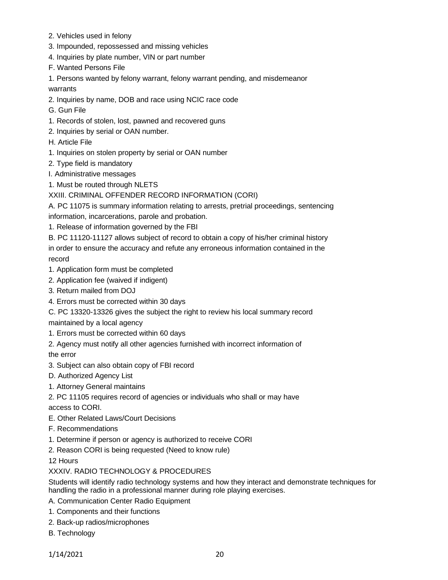- 2. Vehicles used in felony
- 3. Impounded, repossessed and missing vehicles
- 4. Inquiries by plate number, VIN or part number
- F. Wanted Persons File

1. Persons wanted by felony warrant, felony warrant pending, and misdemeanor warrants

- 2. Inquiries by name, DOB and race using NCIC race code
- G. Gun File
- 1. Records of stolen, lost, pawned and recovered guns
- 2. Inquiries by serial or OAN number.
- H. Article File
- 1. Inquiries on stolen property by serial or OAN number
- 2. Type field is mandatory
- I. Administrative messages
- 1. Must be routed through NLETS

# XXIII. CRIMINAL OFFENDER RECORD INFORMATION (CORI)

A. PC 11075 is summary information relating to arrests, pretrial proceedings, sentencing information, incarcerations, parole and probation.

1. Release of information governed by the FBI

B. PC 11120-11127 allows subject of record to obtain a copy of his/her criminal history in order to ensure the accuracy and refute any erroneous information contained in the record

- 1. Application form must be completed
- 2. Application fee (waived if indigent)
- 3. Return mailed from DOJ
- 4. Errors must be corrected within 30 days

C. PC 13320-13326 gives the subject the right to review his local summary record maintained by a local agency

- 1. Errors must be corrected within 60 days
- 2. Agency must notify all other agencies furnished with incorrect information of the error
- 3. Subject can also obtain copy of FBI record
- D. Authorized Agency List
- 1. Attorney General maintains

2. PC 11105 requires record of agencies or individuals who shall or may have access to CORI.

- E. Other Related Laws/Court Decisions
- F. Recommendations
- 1. Determine if person or agency is authorized to receive CORI
- 2. Reason CORI is being requested (Need to know rule)

12 Hours

# XXXIV. RADIO TECHNOLOGY & PROCEDURES

Students will identify radio technology systems and how they interact and demonstrate techniques for handling the radio in a professional manner during role playing exercises.

- A. Communication Center Radio Equipment
- 1. Components and their functions
- 2. Back-up radios/microphones
- B. Technology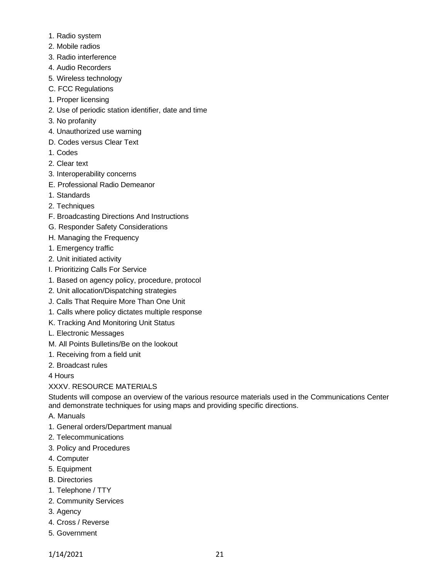- 1. Radio system
- 2. Mobile radios
- 3. Radio interference
- 4. Audio Recorders
- 5. Wireless technology
- C. FCC Regulations
- 1. Proper licensing
- 2. Use of periodic station identifier, date and time
- 3. No profanity
- 4. Unauthorized use warning
- D. Codes versus Clear Text
- 1. Codes
- 2. Clear text
- 3. Interoperability concerns
- E. Professional Radio Demeanor
- 1. Standards
- 2. Techniques
- F. Broadcasting Directions And Instructions
- G. Responder Safety Considerations
- H. Managing the Frequency
- 1. Emergency traffic
- 2. Unit initiated activity
- I. Prioritizing Calls For Service
- 1. Based on agency policy, procedure, protocol
- 2. Unit allocation/Dispatching strategies
- J. Calls That Require More Than One Unit
- 1. Calls where policy dictates multiple response
- K. Tracking And Monitoring Unit Status
- L. Electronic Messages
- M. All Points Bulletins/Be on the lookout
- 1. Receiving from a field unit
- 2. Broadcast rules

4 Hours

## XXXV. RESOURCE MATERIALS

Students will compose an overview of the various resource materials used in the Communications Center and demonstrate techniques for using maps and providing specific directions.

- A. Manuals
- 1. General orders/Department manual
- 2. Telecommunications
- 3. Policy and Procedures
- 4. Computer
- 5. Equipment
- B. Directories
- 1. Telephone / TTY
- 2. Community Services
- 3. Agency
- 4. Cross / Reverse
- 5. Government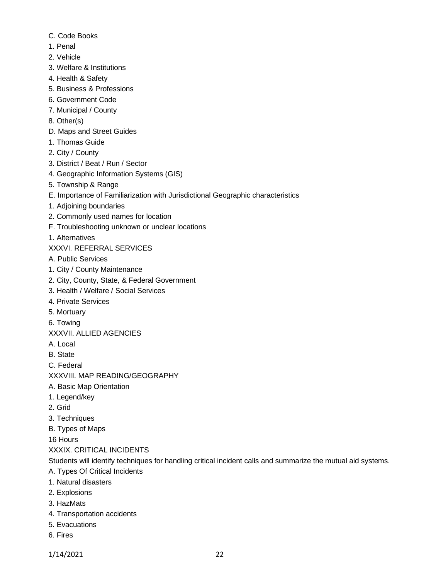- C. Code Books
- 1. Penal
- 2. Vehicle
- 3. Welfare & Institutions
- 4. Health & Safety
- 5. Business & Professions
- 6. Government Code
- 7. Municipal / County
- 8. Other(s)
- D. Maps and Street Guides
- 1. Thomas Guide
- 2. City / County
- 3. District / Beat / Run / Sector
- 4. Geographic Information Systems (GIS)
- 5. Township & Range
- E. Importance of Familiarization with Jurisdictional Geographic characteristics
- 1. Adjoining boundaries
- 2. Commonly used names for location
- F. Troubleshooting unknown or unclear locations
- 1. Alternatives
- XXXVI. REFERRAL SERVICES
- A. Public Services
- 1. City / County Maintenance
- 2. City, County, State, & Federal Government
- 3. Health / Welfare / Social Services
- 4. Private Services
- 5. Mortuary
- 6. Towing
- XXXVII. ALLIED AGENCIES
- A. Local
- B. State
- C. Federal
- XXXVIII. MAP READING/GEOGRAPHY
- A. Basic Map Orientation
- 1. Legend/key
- 2. Grid
- 3. Techniques
- B. Types of Maps

16 Hours

# XXXIX. CRITICAL INCIDENTS

Students will identify techniques for handling critical incident calls and summarize the mutual aid systems.

- A. Types Of Critical Incidents
- 1. Natural disasters
- 2. Explosions
- 3. HazMats
- 4. Transportation accidents
- 5. Evacuations
- 6. Fires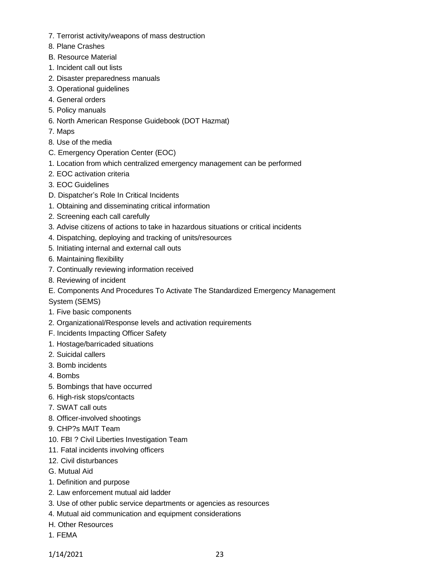- 7. Terrorist activity/weapons of mass destruction
- 8. Plane Crashes
- B. Resource Material
- 1. Incident call out lists
- 2. Disaster preparedness manuals
- 3. Operational guidelines
- 4. General orders
- 5. Policy manuals
- 6. North American Response Guidebook (DOT Hazmat)
- 7. Maps
- 8. Use of the media
- C. Emergency Operation Center (EOC)
- 1. Location from which centralized emergency management can be performed
- 2. EOC activation criteria
- 3. EOC Guidelines
- D. Dispatcher's Role In Critical Incidents
- 1. Obtaining and disseminating critical information
- 2. Screening each call carefully
- 3. Advise citizens of actions to take in hazardous situations or critical incidents
- 4. Dispatching, deploying and tracking of units/resources
- 5. Initiating internal and external call outs
- 6. Maintaining flexibility
- 7. Continually reviewing information received
- 8. Reviewing of incident
- E. Components And Procedures To Activate The Standardized Emergency Management
- System (SEMS)
- 1. Five basic components
- 2. Organizational/Response levels and activation requirements
- F. Incidents Impacting Officer Safety
- 1. Hostage/barricaded situations
- 2. Suicidal callers
- 3. Bomb incidents
- 4. Bombs
- 5. Bombings that have occurred
- 6. High-risk stops/contacts
- 7. SWAT call outs
- 8. Officer-involved shootings
- 9. CHP?s MAIT Team
- 10. FBI ? Civil Liberties Investigation Team
- 11. Fatal incidents involving officers
- 12. Civil disturbances
- G. Mutual Aid
- 1. Definition and purpose
- 2. Law enforcement mutual aid ladder
- 3. Use of other public service departments or agencies as resources
- 4. Mutual aid communication and equipment considerations
- H. Other Resources
- 1. FEMA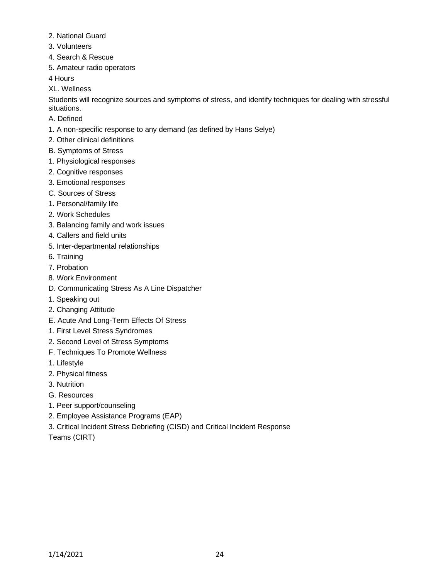- 2. National Guard
- 3. Volunteers
- 4. Search & Rescue
- 5. Amateur radio operators

4 Hours

XL. Wellness

Students will recognize sources and symptoms of stress, and identify techniques for dealing with stressful situations.

- A. Defined
- 1. A non-specific response to any demand (as defined by Hans Selye)
- 2. Other clinical definitions
- B. Symptoms of Stress
- 1. Physiological responses
- 2. Cognitive responses
- 3. Emotional responses
- C. Sources of Stress
- 1. Personal/family life
- 2. Work Schedules
- 3. Balancing family and work issues
- 4. Callers and field units
- 5. Inter-departmental relationships
- 6. Training
- 7. Probation
- 8. Work Environment
- D. Communicating Stress As A Line Dispatcher
- 1. Speaking out
- 2. Changing Attitude
- E. Acute And Long-Term Effects Of Stress
- 1. First Level Stress Syndromes
- 2. Second Level of Stress Symptoms
- F. Techniques To Promote Wellness
- 1. Lifestyle
- 2. Physical fitness
- 3. Nutrition
- G. Resources
- 1. Peer support/counseling
- 2. Employee Assistance Programs (EAP)
- 3. Critical Incident Stress Debriefing (CISD) and Critical Incident Response
- Teams (CIRT)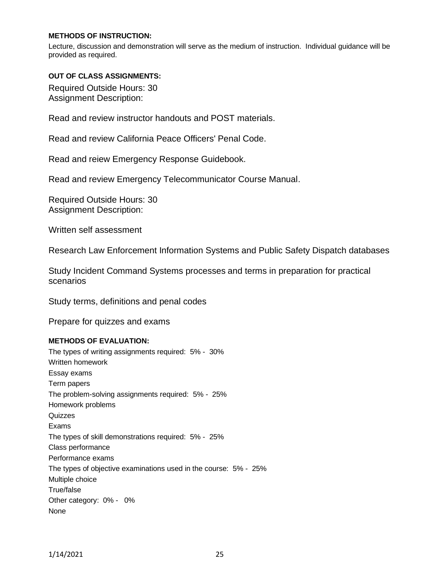### **METHODS OF INSTRUCTION:**

Lecture, discussion and demonstration will serve as the medium of instruction. Individual guidance will be provided as required.

#### **OUT OF CLASS ASSIGNMENTS:**

Required Outside Hours: 30 Assignment Description:

Read and review instructor handouts and POST materials.

Read and review California Peace Officers' Penal Code.

Read and reiew Emergency Response Guidebook.

Read and review Emergency Telecommunicator Course Manual.

Required Outside Hours: 30 Assignment Description:

Written self assessment

Research Law Enforcement Information Systems and Public Safety Dispatch databases

Study Incident Command Systems processes and terms in preparation for practical scenarios

Study terms, definitions and penal codes

Prepare for quizzes and exams

#### **METHODS OF EVALUATION:**

The types of writing assignments required: 5% - 30% Written homework Essay exams Term papers The problem-solving assignments required: 5% - 25% Homework problems **Quizzes** Exams The types of skill demonstrations required: 5% - 25% Class performance Performance exams The types of objective examinations used in the course: 5% - 25% Multiple choice True/false Other category: 0% - 0% None